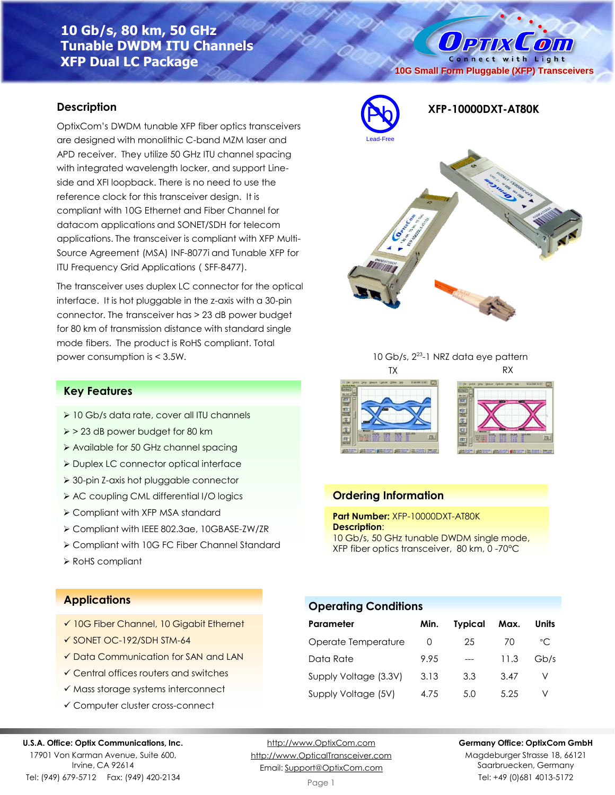# **10 Gb/s, 80 km, 50 GHz Tunable DWDM ITU Channels XFP Dual LC Package**

#### **Description**

OptixCom's DWDM tunable XFP fiber optics transceivers are designed with monolithic C-band MZM laser and APD receiver. They utilize 50 GHz ITU channel spacing with integrated wavelength locker, and support Lineside and XFI loopback. There is no need to use the reference clock for this transceiver design. It is compliant with 10G Ethernet and Fiber Channel for datacom applications and SONET/SDH for telecom applications. The transceiver is compliant with XFP Multi-Source Agreement (MSA) INF-8077i and Tunable XFP for ITU Frequency Grid Applications(SFF-8477).

The transceiver uses duplex LC connector for the optical interface. It is hot pluggable in the z-axis with a 30-pin connector. The transceiver has > 23 dB power budget for 80 km of transmission distance with standard single mode fibers. The product is RoHS compliant. Total power consumption is < 3.5W.

# **XFP-10000DXT-AT80K** Pb Lead-Free

**10G Small Form Pluggable (XFP) Transceivers**

O PTIX COM Connect with Light

10 Gb/s, 2<sup>23</sup>-1 NRZ data eye pattern TX RX





#### **Ordering Information**

**Part Number:** XFP-10000DXT-AT80K **Description**:

10 Gb/s, 50 GHz tunable DWDM single mode, XFP fiber optics transceiver, 80 km, 0 -70°C

# **Operating Conditions**

| Parameter             | Min. | <b>Typical</b> | Max. | Units        |
|-----------------------|------|----------------|------|--------------|
| Operate Temperature   | O    | 25             | 70   | $^{\circ}$ C |
| Data Rate             | 9.95 |                | 11.3 | Gb/s         |
| Supply Voltage (3.3V) | 3.13 | 3.3            | 3.47 |              |
| Supply Voltage (5V)   | 4.75 | 5.0            | 5.25 |              |

#### ➢ 10 Gb/s data rate, cover all ITU channels

**Key Features**

- ➢ > 23 dB power budget for 80 km
- ➢ Available for 50 GHz channel spacing
- ➢ Duplex LC connector optical interface
- ➢ 30-pin Z-axis hot pluggable connector
- ➢ AC coupling CML differential I/O logics
- ➢ Compliant with XFP MSA standard
- ➢ Compliant with IEEE 802.3ae, 10GBASE-ZW/ZR
- ➢ Compliant with 10G FC Fiber Channel Standard
- ➢ RoHS compliant

#### **Applications**

- ✓ 10G Fiber Channel, 10 Gigabit Ethernet
- ✓ SONET OC-192/SDH STM-64
- ✓ Data Communication for SAN and LAN
- ✓ Central offices routers and switches
- ✓ Mass storage systems interconnect
- ✓ Computer cluster cross-connect

#### **U.S.A. Office: Optix Communications, Inc.**

17901 Von Karman Avenue, Suite 600, Irvine, CA 92614 Tel: (949) 679-5712 Fax: (949) 420-2134

[http://www.OptixCom.com](http://www.optixcom.com/) [http://www.OpticalTransceiver.com](http://www.optoictech.com/) Email: [Support@OptixCom.com](mailto:Support@optoICtech.com)

#### **Germany Office: OptixCom GmbH**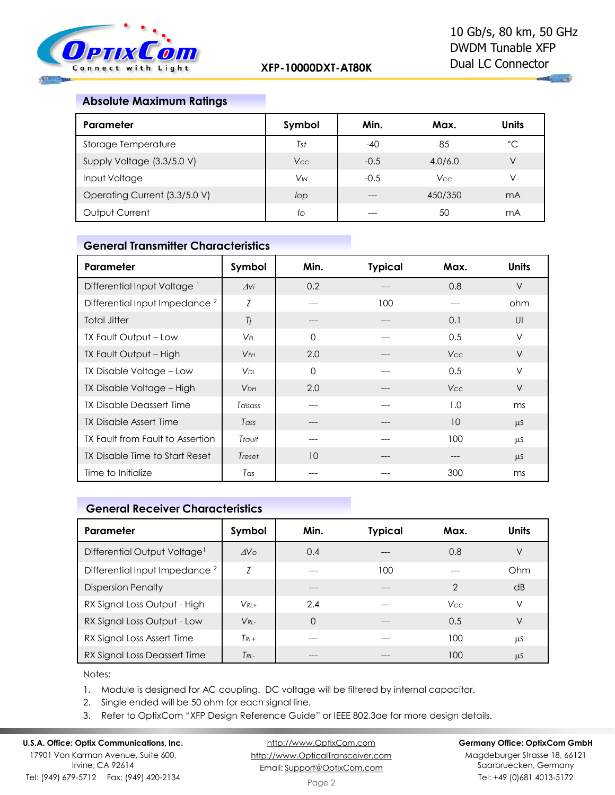

#### **Absolute Maximum Ratings**

| Parameter                     | Symbol                | Min.   | Max.    | <b>Units</b> |
|-------------------------------|-----------------------|--------|---------|--------------|
| Storage Temperature           | Tst                   | $-40$  | 85      | °C           |
| Supply Voltage (3.3/5.0 V)    | Vcc                   | $-0.5$ | 4.0/6.0 | V            |
| Input Voltage                 | <b>V<sub>IN</sub></b> | $-0.5$ | Vcc     |              |
| Operating Current (3.3/5.0 V) | lop                   |        | 450/350 | mA           |
| Output Current                | lo                    |        | 50      | mA           |

# **General Transmitter Characteristics**

| Parameter                                 | Symbol          | Min.     | <b>Typical</b> | Max.            | <b>Units</b> |
|-------------------------------------------|-----------------|----------|----------------|-----------------|--------------|
| Differential Input Voltage <sup>1</sup>   | $\Delta$ Vi     | 0.2      | ---            | 0.8             | $\vee$       |
| Differential Input Impedance <sup>2</sup> | Ζ               | ---      | 100            |                 | ohm          |
| <b>Total Jitter</b>                       | Tj              | ---      | ---            | 0.1             | UI           |
| TX Fault Output - Low                     | $V_{FI}$        | $\Omega$ | ---            | 0.5             | V            |
| TX Fault Output - High                    | $V_{FH}$        | 2.0      | ---            | V <sub>cc</sub> | $\vee$       |
| TX Disable Voltage – Low                  | V <sub>DI</sub> | $\Omega$ | ---            | 0.5             | $\vee$       |
| TX Disable Voltage - High                 | <b>VDH</b>      | 2.0      | ---            | V <sub>cc</sub> | $\vee$       |
| TX Disable Deassert Time                  | <b>T</b> disass | ---      | ---            | 1.0             | ms           |
| <b>TX Disable Assert Time</b>             | Tass            | ---      | ---            | 10              | $\mu$ S      |
| TX Fault from Fault to Assertion          | Tfault          | ---      |                | 100             | μS           |
| TX Disable Time to Start Reset            | Treset          | 10       | ---            | $---$           | <b>LLS</b>   |
| Time to Initialize                        | Tas             | ---      | ---            | 300             | ms           |

#### **General Receiver Characteristics**

| Parameter                                 | Symbol          | Min.     | <b>Typical</b> | Max.          | <b>Units</b> |
|-------------------------------------------|-----------------|----------|----------------|---------------|--------------|
| Differential Output Voltage <sup>1</sup>  | AV <sub>o</sub> | 0.4      |                | 0.8           | ν            |
| Differential Input Impedance <sup>2</sup> | Z               | ---      | 100            |               | Ohm          |
| <b>Dispersion Penalty</b>                 |                 | ---      | ---            | $\mathcal{P}$ | dB           |
| RX Signal Loss Output - High              | $V_{RI+}$       | 2.4      |                | Vcc           | V            |
| RX Signal Loss Output - Low               | $V_{RI}$        | $\Omega$ | ---            | 0.5           | V            |
| RX Signal Loss Assert Time                | $T_{RI}$ +      | ---      | ---            | 100           | μS           |
| RX Signal Loss Deassert Time              | $T_{RL}$        |          |                | 100           | μS           |

Notes:

1. Module is designed for AC coupling. DC voltage will be filtered by internal capacitor.

2. Single ended will be 50 ohm for each signal line.

3. Refer to OptixCom "XFP Design Reference Guide" or IEEE 802.3ae for more design details.

Irvine, CA 92614 Tel: (949) 679-5712 Fax: (949) 420-2134

[http://www.OptixCom.com](http://www.optixcom.com/) [http://www.OpticalTransceiver.com](http://www.optoictech.com/) Email: [Support@OptixCom.com](mailto:Support@optoICtech.com)

**Germany Office: OptixCom GmbH**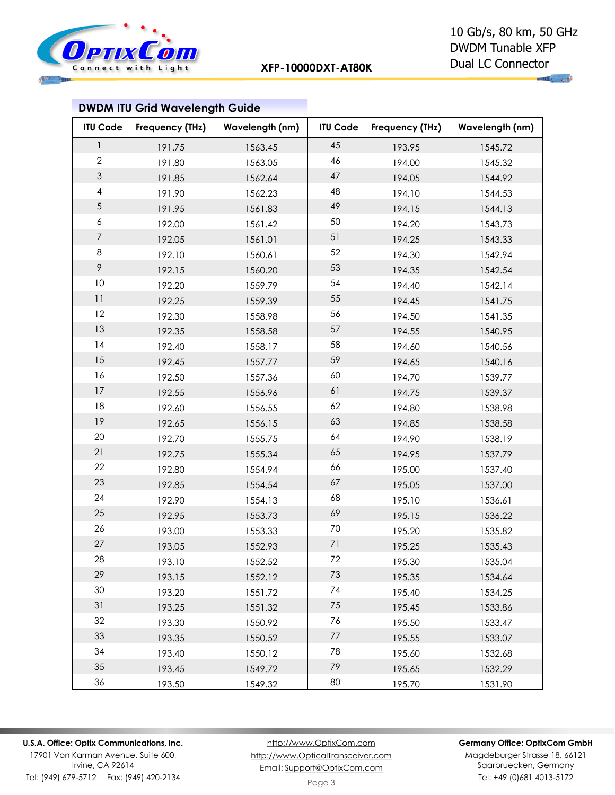

# **DWDM ITU Grid Wavelength Guide**

| <b>ITU Code</b>           | Frequency (THz) | Wavelength (nm) | <b>ITU Code</b> | Frequency (THz) | Wavelength (nm) |
|---------------------------|-----------------|-----------------|-----------------|-----------------|-----------------|
| $\mathbf{1}$              | 191.75          | 1563.45         | 45              | 193.95          | 1545.72         |
| $\mathbf{2}$              | 191.80          | 1563.05         | 46              | 194.00          | 1545.32         |
| $\ensuremath{\mathsf{3}}$ | 191.85          | 1562.64         | 47              | 194.05          | 1544.92         |
| $\pmb{4}$                 | 191.90          | 1562.23         | 48              | 194.10          | 1544.53         |
| $\sqrt{5}$                | 191.95          | 1561.83         | 49              | 194.15          | 1544.13         |
| 6                         | 192.00          | 1561.42         | 50              | 194.20          | 1543.73         |
| $\boldsymbol{7}$          | 192.05          | 1561.01         | 51              | 194.25          | 1543.33         |
| $\,8\,$                   | 192.10          | 1560.61         | 52              | 194.30          | 1542.94         |
| $\mathcal{P}$             | 192.15          | 1560.20         | 53              | 194.35          | 1542.54         |
| 10                        | 192.20          | 1559.79         | 54              | 194.40          | 1542.14         |
| 11                        | 192.25          | 1559.39         | 55              | 194.45          | 1541.75         |
| 12                        | 192.30          | 1558.98         | 56              | 194.50          | 1541.35         |
| 13                        | 192.35          | 1558.58         | 57              | 194.55          | 1540.95         |
| 4                         | 192.40          | 1558.17         | 58              | 194.60          | 1540.56         |
| 15                        | 192.45          | 1557.77         | 59              | 194.65          | 1540.16         |
| 16                        | 192.50          | 1557.36         | 60              | 194.70          | 1539.77         |
| 17                        | 192.55          | 1556.96         | 61              | 194.75          | 1539.37         |
| 18                        | 192.60          | 1556.55         | 62              | 194.80          | 1538.98         |
| 19                        | 192.65          | 1556.15         | 63              | 194.85          | 1538.58         |
| 20                        | 192.70          | 1555.75         | 64              | 194.90          | 1538.19         |
| 21                        | 192.75          | 1555.34         | 65              | 194.95          | 1537.79         |
| 22                        | 192.80          | 1554.94         | 66              | 195.00          | 1537.40         |
| 23                        | 192.85          | 1554.54         | 67              | 195.05          | 1537.00         |
| 24                        | 192.90          | 1554.13         | 68              | 195.10          | 1536.61         |
| 25                        | 192.95          | 1553.73         | 69              | 195.15          | 1536.22         |
| 26                        | 193.00          | 1553.33         | 70              | 195.20          | 1535.82         |
| 27                        | 193.05          | 1552.93         | 71              | 195.25          | 1535.43         |
| 28                        | 193.10          | 1552.52         | 72              | 195.30          | 1535.04         |
| 29                        | 193.15          | 1552.12         | 73              | 195.35          | 1534.64         |
| 30                        | 193.20          | 1551.72         | 74              | 195.40          | 1534.25         |
| 31                        | 193.25          | 1551.32         | 75              | 195.45          | 1533.86         |
| 32                        | 193.30          | 1550.92         | 76              | 195.50          | 1533.47         |
| 33                        | 193.35          | 1550.52         | $77 \,$         | 195.55          | 1533.07         |
| 34                        | 193.40          | 1550.12         | 78              | 195.60          | 1532.68         |
| 35                        | 193.45          | 1549.72         | 79              | 195.65          | 1532.29         |
| 36                        | 193.50          | 1549.32         | 80              | 195.70          | 1531.90         |

#### **U.S.A. Office: Optix Communications, Inc.**

17901 Von Karman Avenue, Suite 600, Irvine, CA 92614 Tel: (949) 679-5712 Fax: (949) 420-2134

[http://www.OptixCom.com](http://www.optixcom.com/) [http://www.OpticalTransceiver.com](http://www.optoictech.com/) Email: [Support@OptixCom.com](mailto:Support@optoICtech.com)

#### **Germany Office: OptixCom GmbH**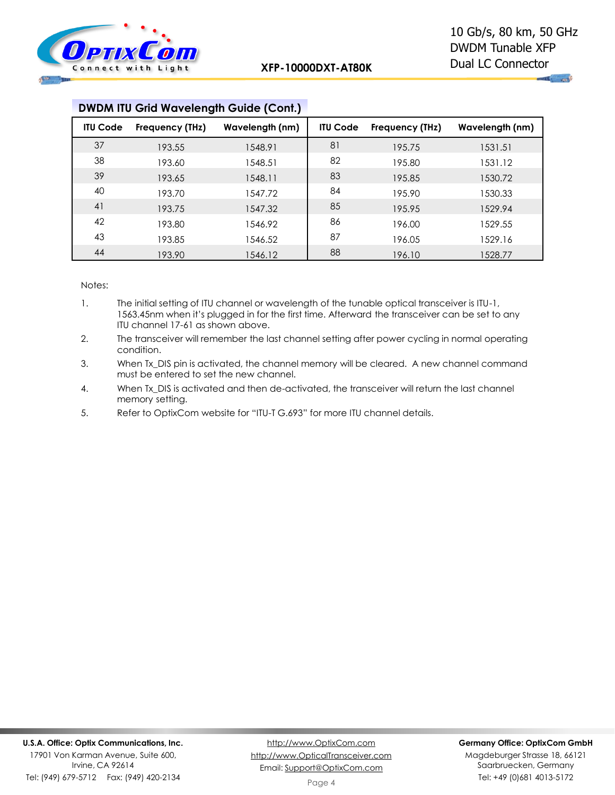

| <b>ITU Code</b> | Frequency (THz) | Wavelength (nm) | <b>ITU Code</b> | Frequency (THz) | Wavelength (nm) |
|-----------------|-----------------|-----------------|-----------------|-----------------|-----------------|
| 37              | 193.55          | 1548.91         | 81              | 195.75          | 1531.51         |
| 38              | 193.60          | 1548.51         | 82              | 195.80          | 1531.12         |
| 39              | 193.65          | 1548.11         | 83              | 195.85          | 1530.72         |
| 40              | 193.70          | 1547.72         | 84              | 195.90          | 1530.33         |
| 41              | 193.75          | 1547.32         | 85              | 195.95          | 1529.94         |
| 42              | 193.80          | 1546.92         | 86              | 196.00          | 1529.55         |
| 43              | 193.85          | 1546.52         | 87              | 196.05          | 1529.16         |
| 44              | 193.90          | 1546.12         | 88              | 196.10          | 1528.77         |

# **DWDM ITU Grid Wavelength Guide (Cont.)**

Notes:

1. The initial setting of ITU channel or wavelength of the tunable optical transceiver is ITU-1, 1563.45nm when it's plugged in for the first time. Afterward the transceiver can be set to any ITU channel 17-61 as shown above.

- 2. The transceiver will remember the last channel setting after power cycling in normal operating condition.
- 3. When Tx\_DIS pin is activated, the channel memory will be cleared. A new channel command must be entered to set the new channel.
- 4. When Tx DIS is activated and then de-activated, the transceiver will return the last channel memory setting.
- 5. Refer to OptixCom website for "ITU-T G.693" for more ITU channel details.

17901 Von Karman Avenue, Suite 600, Irvine, CA 92614 Tel: (949) 679-5712 Fax: (949) 420-2134

[http://www.OptixCom.com](http://www.optixcom.com/) [http://www.OpticalTransceiver.com](http://www.optoictech.com/) Email: [Support@OptixCom.com](mailto:Support@optoICtech.com)

#### **Germany Office: OptixCom GmbH**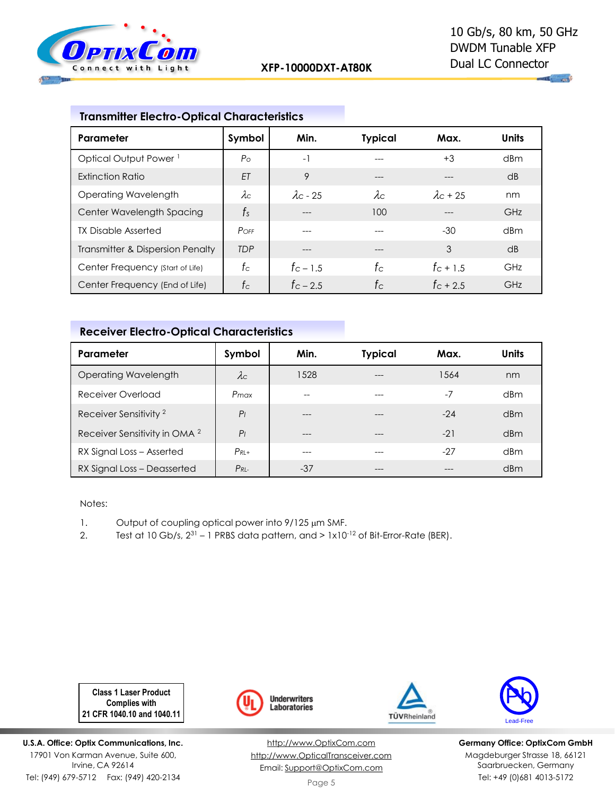

# **Transmitter Electro-Optical Characteristics**

| Parameter                         | Symbol      | Min.             | <b>Typical</b> | Max.             | <b>Units</b>    |
|-----------------------------------|-------------|------------------|----------------|------------------|-----------------|
| Optical Output Power <sup>1</sup> | $P_{\rm O}$ | $-1$             | ---            | $+3$             | dBm             |
| Extinction Ratio                  | ET          | 9                | $---$          | ---              | $\overline{AB}$ |
| <b>Operating Wavelength</b>       | $\lambda c$ | $\lambda$ c - 25 | $\lambda c$    | $\lambda$ c + 25 | nm              |
| Center Wavelength Spacing         | $f_{\rm S}$ |                  | 100            |                  | GHz             |
| <b>TX Disable Asserted</b>        | $P$ OFF     | ---              |                | $-30$            | dBm             |
| Transmitter & Dispersion Penalty  | <b>TDP</b>  | ---              |                | 3                | dB              |
| Center Frequency (Start of Life)  | $f_{\rm C}$ | $f_C = 1.5$      | $f_{\rm C}$    | $f_C + 1.5$      | GHz             |
| Center Frequency (End of Life)    | $f_{\rm C}$ | $f_c - 2.5$      | $f_{\rm C}$    | $f_C + 2.5$      | GHz             |

### **Receiver Electro-Optical Characteristics**

| Parameter                                | Symbol         | Min.  | <b>Typical</b> | Max.  | <b>Units</b>    |
|------------------------------------------|----------------|-------|----------------|-------|-----------------|
| Operating Wavelength                     | $\lambda c$    | 1528  |                | 1564  | nm              |
| Receiver Overload                        | Pmax           | $- -$ | ---            | $-7$  | dBm             |
| Receiver Sensitivity <sup>2</sup>        | P <sub>1</sub> | ---   |                | $-24$ | dBm             |
| Receiver Sensitivity in OMA <sup>2</sup> | P <sub>1</sub> | ---   |                | $-21$ | dBm             |
| RX Signal Loss - Asserted                | $P_{RI}$ +     | ---   |                | $-27$ | d <sub>Bm</sub> |
| RX Signal Loss - Deasserted              | $P_{RI}$       | $-37$ | ---            | ---   | dBm             |

#### Notes:

- 1. Output of coupling optical power into 9/125 µm SMF.
- 2. Test at 10 Gb/s,  $2^{31}$  1 PRBS data pattern, and > 1x10<sup>-12</sup> of Bit-Error-Rate (BER).

**Class 1 Laser Product Complies with 21 CFR 1040.10 and 1040.11**

**U.S.A. Office: Optix Communications, Inc.** 17901 Von Karman Avenue, Suite 600, Irvine, CA 92614 Tel: (949) 679-5712 Fax: (949) 420-2134



[http://www.OptixCom.com](http://www.optixcom.com/) [http://www.OpticalTransceiver.com](http://www.optoictech.com/) Email: [Support@OptixCom.com](mailto:Support@optoICtech.com)





**Germany Office: OptixCom GmbH** Magdeburger Strasse 18, 66121 Saarbruecken, Germany Tel: +49 (0)681 4013-5172